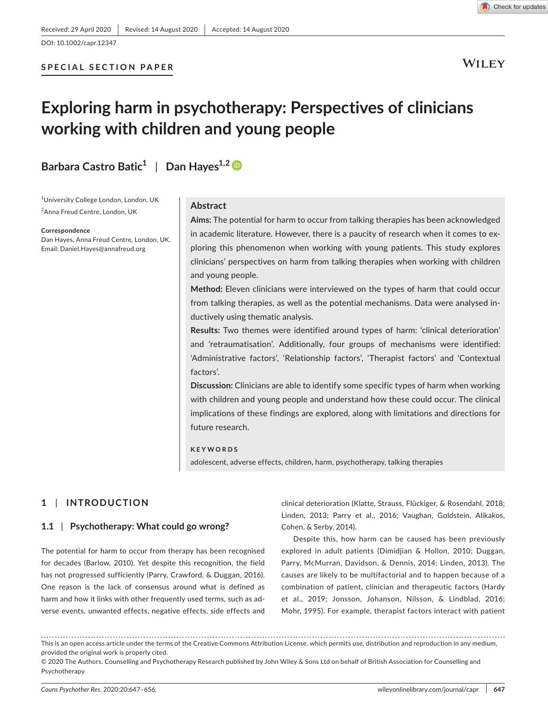

**WILEY** 

# **Exploring harm in psychotherapy: Perspectives of clinicians working with children and young people**

**Barbara Castro Batic<sup>1</sup>** | **Dan Hayes1,2**

<sup>1</sup>University College London, London, UK 2 Anna Freud Centre, London, UK

**Correspondence**

Dan Hayes, Anna Freud Centre, London, UK. Email: [Daniel.Hayes@annafreud.org](mailto:Daniel.Hayes@annafreud.org)

### **Abstract**

**Aims:** The potential for harm to occur from talking therapies has been acknowledged in academic literature. However, there is a paucity of research when it comes to exploring this phenomenon when working with young patients. This study explores clinicians' perspectives on harm from talking therapies when working with children and young people.

**Method:** Eleven clinicians were interviewed on the types of harm that could occur from talking therapies, as well as the potential mechanisms. Data were analysed inductively using thematic analysis.

**Results:** Two themes were identified around types of harm: 'clinical deterioration' and 'retraumatisation'. Additionally, four groups of mechanisms were identified: 'Administrative factors', 'Relationship factors', 'Therapist factors' and 'Contextual factors'.

**Discussion:** Clinicians are able to identify some specific types of harm when working with children and young people and understand how these could occur. The clinical implications of these findings are explored, along with limitations and directions for future research.

**KEYWORDS**

adolescent, adverse effects, children, harm, psychotherapy, talking therapies

# **1** | **INTRODUCTION**

# **1.1** | **Psychotherapy: What could go wrong?**

The potential for harm to occur from therapy has been recognised for decades (Barlow, 2010). Yet despite this recognition, the field has not progressed sufficiently (Parry, Crawford, & Duggan, 2016). One reason is the lack of consensus around what is defined as harm and how it links with other frequently used terms, such as adverse events, unwanted effects, negative effects, side effects and

clinical deterioration (Klatte, Strauss, Flückiger, & Rosendahl, 2018; Linden, 2013; Parry et al., 2016; Vaughan, Goldstein, Alikakos, Cohen, & Serby, 2014).

Despite this, how harm can be caused has been previously explored in adult patients (Dimidjian & Hollon, 2010; Duggan, Parry, McMurran, Davidson, & Dennis, 2014; Linden, 2013). The causes are likely to be multifactorial and to happen because of a combination of patient, clinician and therapeutic factors (Hardy et al., 2019; Jonsson, Johanson, Nilsson, & Lindblad, 2016; Mohr, 1995). For example, therapist factors interact with patient

This is an open access article under the terms of the [Creative Commons Attribution](http://creativecommons.org/licenses/by/4.0/) License, which permits use, distribution and reproduction in any medium, provided the original work is properly cited.

© 2020 The Authors. Counselling and Psychotherapy Research published by John Wiley & Sons Ltd on behalf of British Association for Counselling and Psychotherapy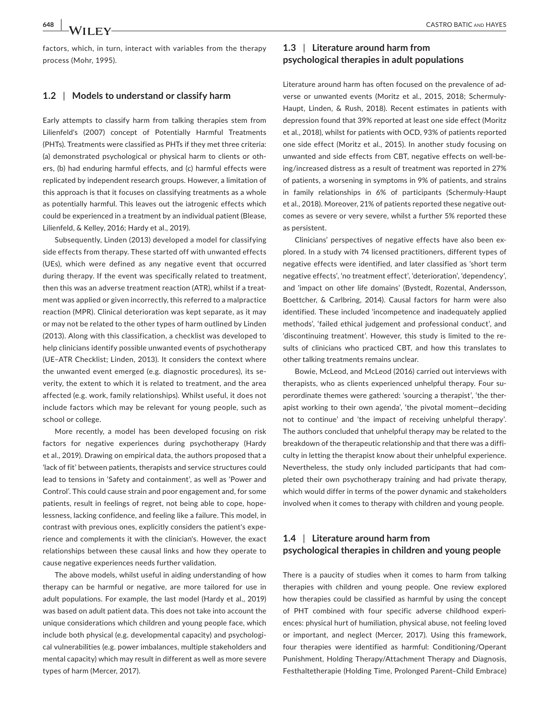factors, which, in turn, interact with variables from the therapy process (Mohr, 1995).

# **1.2** | **Models to understand or classify harm**

Early attempts to classify harm from talking therapies stem from Lilienfeld's (2007) concept of Potentially Harmful Treatments (PHTs). Treatments were classified as PHTs if they met three criteria: (a) demonstrated psychological or physical harm to clients or others, (b) had enduring harmful effects, and (c) harmful effects were replicated by independent research groups. However, a limitation of this approach is that it focuses on classifying treatments as a whole as potentially harmful. This leaves out the iatrogenic effects which could be experienced in a treatment by an individual patient (Blease, Lilienfeld, & Kelley, 2016; Hardy et al., 2019).

Subsequently, Linden (2013) developed a model for classifying side effects from therapy. These started off with unwanted effects (UEs), which were defined as any negative event that occurred during therapy. If the event was specifically related to treatment, then this was an adverse treatment reaction (ATR), whilst if a treatment was applied or given incorrectly, this referred to a malpractice reaction (MPR). Clinical deterioration was kept separate, as it may or may not be related to the other types of harm outlined by Linden (2013). Along with this classification, a checklist was developed to help clinicians identify possible unwanted events of psychotherapy (UE–ATR Checklist; Linden, 2013). It considers the context where the unwanted event emerged (e.g. diagnostic procedures), its severity, the extent to which it is related to treatment, and the area affected (e.g. work, family relationships). Whilst useful, it does not include factors which may be relevant for young people, such as school or college.

More recently, a model has been developed focusing on risk factors for negative experiences during psychotherapy (Hardy et al., 2019). Drawing on empirical data, the authors proposed that a 'lack of fit' between patients, therapists and service structures could lead to tensions in 'Safety and containment', as well as 'Power and Control'. This could cause strain and poor engagement and, for some patients, result in feelings of regret, not being able to cope, hopelessness, lacking confidence, and feeling like a failure. This model, in contrast with previous ones, explicitly considers the patient's experience and complements it with the clinician's. However, the exact relationships between these causal links and how they operate to cause negative experiences needs further validation.

The above models, whilst useful in aiding understanding of how therapy can be harmful or negative, are more tailored for use in adult populations. For example, the last model (Hardy et al., 2019) was based on adult patient data. This does not take into account the unique considerations which children and young people face, which include both physical (e.g. developmental capacity) and psychological vulnerabilities (e.g. power imbalances, multiple stakeholders and mental capacity) which may result in different as well as more severe types of harm (Mercer, 2017).

# **1.3** | **Literature around harm from psychological therapies in adult populations**

Literature around harm has often focused on the prevalence of adverse or unwanted events (Moritz et al., 2015, 2018; Schermuly-Haupt, Linden, & Rush, 2018). Recent estimates in patients with depression found that 39% reported at least one side effect (Moritz et al., 2018), whilst for patients with OCD, 93% of patients reported one side effect (Moritz et al., 2015). In another study focusing on unwanted and side effects from CBT, negative effects on well-being/increased distress as a result of treatment was reported in 27% of patients, a worsening in symptoms in 9% of patients, and strains in family relationships in 6% of participants (Schermuly-Haupt et al., 2018). Moreover, 21% of patients reported these negative outcomes as severe or very severe, whilst a further 5% reported these as persistent.

Clinicians' perspectives of negative effects have also been explored. In a study with 74 licensed practitioners, different types of negative effects were identified, and later classified as 'short term negative effects', 'no treatment effect', 'deterioration', 'dependency', and 'impact on other life domains' (Bystedt, Rozental, Andersson, Boettcher, & Carlbring, 2014). Causal factors for harm were also identified. These included 'incompetence and inadequately applied methods', 'failed ethical judgement and professional conduct', and 'discontinuing treatment'. However, this study is limited to the results of clinicians who practiced CBT, and how this translates to other talking treatments remains unclear.

Bowie, McLeod, and McLeod (2016) carried out interviews with therapists, who as clients experienced unhelpful therapy. Four superordinate themes were gathered: 'sourcing a therapist', 'the therapist working to their own agenda', 'the pivotal moment—deciding not to continue' and 'the impact of receiving unhelpful therapy'. The authors concluded that unhelpful therapy may be related to the breakdown of the therapeutic relationship and that there was a difficulty in letting the therapist know about their unhelpful experience. Nevertheless, the study only included participants that had completed their own psychotherapy training and had private therapy, which would differ in terms of the power dynamic and stakeholders involved when it comes to therapy with children and young people.

# **1.4** | **Literature around harm from psychological therapies in children and young people**

There is a paucity of studies when it comes to harm from talking therapies with children and young people. One review explored how therapies could be classified as harmful by using the concept of PHT combined with four specific adverse childhood experiences: physical hurt of humiliation, physical abuse, not feeling loved or important, and neglect (Mercer, 2017). Using this framework, four therapies were identified as harmful: Conditioning/Operant Punishment, Holding Therapy/Attachment Therapy and Diagnosis, Festhaltetherapie (Holding Time, Prolonged Parent–Child Embrace)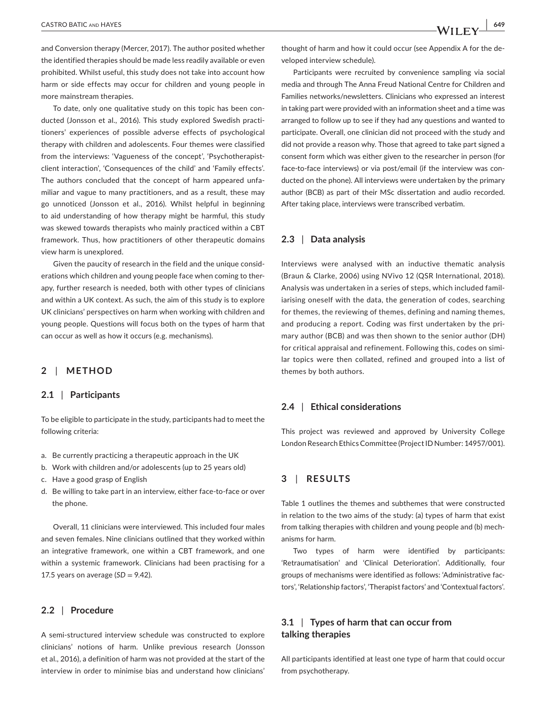and Conversion therapy (Mercer, 2017). The author posited whether the identified therapies should be made less readily available or even prohibited. Whilst useful, this study does not take into account how harm or side effects may occur for children and young people in more mainstream therapies.

To date, only one qualitative study on this topic has been conducted (Jonsson et al., 2016). This study explored Swedish practitioners' experiences of possible adverse effects of psychological therapy with children and adolescents. Four themes were classified from the interviews: 'Vagueness of the concept', 'Psychotherapistclient interaction', 'Consequences of the child' and 'Family effects'. The authors concluded that the concept of harm appeared unfamiliar and vague to many practitioners, and as a result, these may go unnoticed (Jonsson et al., 2016). Whilst helpful in beginning to aid understanding of how therapy might be harmful, this study was skewed towards therapists who mainly practiced within a CBT framework. Thus, how practitioners of other therapeutic domains view harm is unexplored.

Given the paucity of research in the field and the unique considerations which children and young people face when coming to therapy, further research is needed, both with other types of clinicians and within a UK context. As such, the aim of this study is to explore UK clinicians' perspectives on harm when working with children and young people. Questions will focus both on the types of harm that can occur as well as how it occurs (e.g. mechanisms).

# **2** | **METHOD**

### **2.1** | **Participants**

To be eligible to participate in the study, participants had to meet the following criteria:

- a. Be currently practicing a therapeutic approach in the UK
- b. Work with children and/or adolescents (up to 25 years old)
- c. Have a good grasp of English
- d. Be willing to take part in an interview, either face-to-face or over the phone.

Overall, 11 clinicians were interviewed. This included four males and seven females. Nine clinicians outlined that they worked within an integrative framework, one within a CBT framework, and one within a systemic framework. Clinicians had been practising for a 17.5 years on average  $(SD = 9.42)$ .

### **2.2** | **Procedure**

A semi-structured interview schedule was constructed to explore clinicians' notions of harm. Unlike previous research (Jonsson et al., 2016), a definition of harm was not provided at the start of the interview in order to minimise bias and understand how clinicians'

thought of harm and how it could occur (see Appendix A for the developed interview schedule).

Participants were recruited by convenience sampling via social media and through The Anna Freud National Centre for Children and Families networks/newsletters. Clinicians who expressed an interest in taking part were provided with an information sheet and a time was arranged to follow up to see if they had any questions and wanted to participate. Overall, one clinician did not proceed with the study and did not provide a reason why. Those that agreed to take part signed a consent form which was either given to the researcher in person (for face-to-face interviews) or via post/email (if the interview was conducted on the phone). All interviews were undertaken by the primary author (BCB) as part of their MSc dissertation and audio recorded. After taking place, interviews were transcribed verbatim.

# **2.3** | **Data analysis**

Interviews were analysed with an inductive thematic analysis (Braun & Clarke, 2006) using NVivo 12 (QSR International, 2018). Analysis was undertaken in a series of steps, which included familiarising oneself with the data, the generation of codes, searching for themes, the reviewing of themes, defining and naming themes, and producing a report. Coding was first undertaken by the primary author (BCB) and was then shown to the senior author (DH) for critical appraisal and refinement. Following this, codes on similar topics were then collated, refined and grouped into a list of themes by both authors.

### **2.4** | **Ethical considerations**

This project was reviewed and approved by University College London Research Ethics Committee (Project ID Number: 14957/001).

# **3** | **RESULTS**

Table 1 outlines the themes and subthemes that were constructed in relation to the two aims of the study: (a) types of harm that exist from talking therapies with children and young people and (b) mechanisms for harm.

Two types of harm were identified by participants: 'Retraumatisation' and 'Clinical Deterioration'. Additionally, four groups of mechanisms were identified as follows: 'Administrative factors', 'Relationship factors', 'Therapist factors' and 'Contextual factors'.

# **3.1** | **Types of harm that can occur from talking therapies**

All participants identified at least one type of harm that could occur from psychotherapy.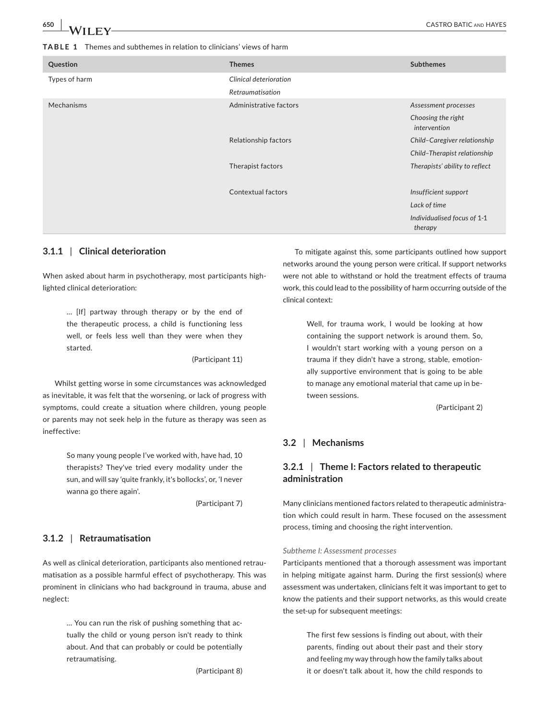| Question      | <b>Themes</b>          | <b>Subthemes</b>                       |
|---------------|------------------------|----------------------------------------|
| Types of harm | Clinical deterioration |                                        |
|               | Retraumatisation       |                                        |
| Mechanisms    | Administrative factors | Assessment processes                   |
|               |                        | Choosing the right<br>intervention     |
|               | Relationship factors   | Child-Caregiver relationship           |
|               |                        | Child-Therapist relationship           |
|               | Therapist factors      | Therapists' ability to reflect         |
|               |                        |                                        |
|               | Contextual factors     | Insufficient support                   |
|               |                        | Lack of time                           |
|               |                        | Individualised focus of 1-1<br>therapy |
|               |                        |                                        |

# **3.1.1** | **Clinical deterioration**

When asked about harm in psychotherapy, most participants highlighted clinical deterioration:

> … [If] partway through therapy or by the end of the therapeutic process, a child is functioning less well, or feels less well than they were when they started.

> > (Participant 11)

Whilst getting worse in some circumstances was acknowledged as inevitable, it was felt that the worsening, or lack of progress with symptoms, could create a situation where children, young people or parents may not seek help in the future as therapy was seen as ineffective:

> So many young people I've worked with, have had, 10 therapists? They've tried every modality under the sun, and will say 'quite frankly, it's bollocks', or, 'I never wanna go there again'.

> > (Participant 7)

### **3.1.2** | **Retraumatisation**

As well as clinical deterioration, participants also mentioned retraumatisation as a possible harmful effect of psychotherapy. This was prominent in clinicians who had background in trauma, abuse and neglect:

> … You can run the risk of pushing something that actually the child or young person isn't ready to think about. And that can probably or could be potentially retraumatising.

> > (Participant 8)

To mitigate against this, some participants outlined how support networks around the young person were critical. If support networks were not able to withstand or hold the treatment effects of trauma work, this could lead to the possibility of harm occurring outside of the clinical context:

> Well, for trauma work, I would be looking at how containing the support network is around them. So, I wouldn't start working with a young person on a trauma if they didn't have a strong, stable, emotionally supportive environment that is going to be able to manage any emotional material that came up in between sessions.

> > (Participant 2)

# **3.2** | **Mechanisms**

# **3.2.1** | **Theme I: Factors related to therapeutic administration**

Many clinicians mentioned factors related to therapeutic administration which could result in harm. These focused on the assessment process, timing and choosing the right intervention.

#### *Subtheme I: Assessment processes*

Participants mentioned that a thorough assessment was important in helping mitigate against harm. During the first session(s) where assessment was undertaken, clinicians felt it was important to get to know the patients and their support networks, as this would create the set-up for subsequent meetings:

> The first few sessions is finding out about, with their parents, finding out about their past and their story and feeling my way through how the family talks about it or doesn't talk about it, how the child responds to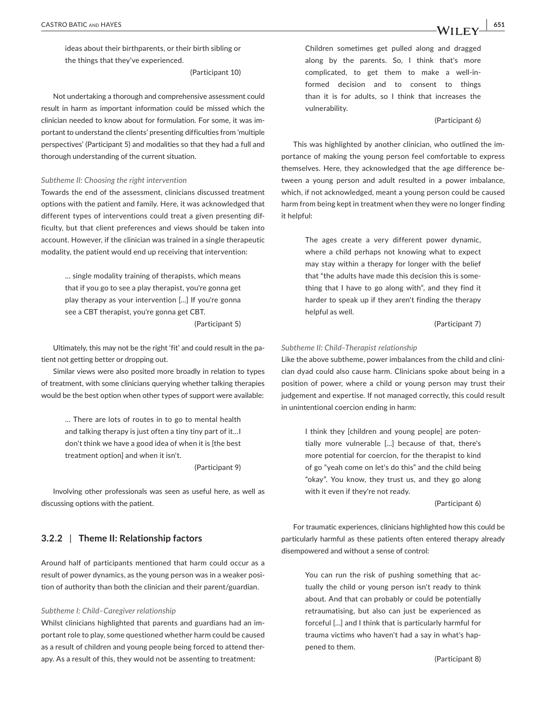ideas about their birthparents, or their birth sibling or the things that they've experienced.

(Participant 10)

Not undertaking a thorough and comprehensive assessment could result in harm as important information could be missed which the clinician needed to know about for formulation. For some, it was important to understand the clients' presenting difficulties from 'multiple perspectives' (Participant 5) and modalities so that they had a full and thorough understanding of the current situation.

#### *Subtheme II: Choosing the right intervention*

Towards the end of the assessment, clinicians discussed treatment options with the patient and family. Here, it was acknowledged that different types of interventions could treat a given presenting difficulty, but that client preferences and views should be taken into account. However, if the clinician was trained in a single therapeutic modality, the patient would end up receiving that intervention:

> … single modality training of therapists, which means that if you go to see a play therapist, you're gonna get play therapy as your intervention […] If you're gonna see a CBT therapist, you're gonna get CBT. (Participant 5)

Ultimately, this may not be the right 'fit' and could result in the patient not getting better or dropping out.

Similar views were also posited more broadly in relation to types of treatment, with some clinicians querying whether talking therapies would be the best option when other types of support were available:

> … There are lots of routes in to go to mental health and talking therapy is just often a tiny tiny part of it…I don't think we have a good idea of when it is [the best treatment option] and when it isn't.

> > (Participant 9)

Involving other professionals was seen as useful here, as well as discussing options with the patient.

# **3.2.2** | **Theme II: Relationship factors**

Around half of participants mentioned that harm could occur as a result of power dynamics, as the young person was in a weaker position of authority than both the clinician and their parent/guardian.

#### *Subtheme I: Child–Caregiver relationship*

Whilst clinicians highlighted that parents and guardians had an important role to play, some questioned whether harm could be caused as a result of children and young people being forced to attend therapy. As a result of this, they would not be assenting to treatment:

Children sometimes get pulled along and dragged along by the parents. So, I think that's more complicated, to get them to make a well-informed decision and to consent to things than it is for adults, so I think that increases the vulnerability.

#### (Participant 6)

This was highlighted by another clinician, who outlined the importance of making the young person feel comfortable to express themselves. Here, they acknowledged that the age difference between a young person and adult resulted in a power imbalance, which, if not acknowledged, meant a young person could be caused harm from being kept in treatment when they were no longer finding it helpful:

> The ages create a very different power dynamic, where a child perhaps not knowing what to expect may stay within a therapy for longer with the belief that "the adults have made this decision this is something that I have to go along with", and they find it harder to speak up if they aren't finding the therapy helpful as well.

> > (Participant 7)

#### *Subtheme II: Child–Therapist relationship*

Like the above subtheme, power imbalances from the child and clinician dyad could also cause harm. Clinicians spoke about being in a position of power, where a child or young person may trust their judgement and expertise. If not managed correctly, this could result in unintentional coercion ending in harm:

> I think they [children and young people] are potentially more vulnerable […] because of that, there's more potential for coercion, for the therapist to kind of go "yeah come on let's do this" and the child being "okay". You know, they trust us, and they go along with it even if they're not ready.

> > (Participant 6)

For traumatic experiences, clinicians highlighted how this could be particularly harmful as these patients often entered therapy already disempowered and without a sense of control:

> You can run the risk of pushing something that actually the child or young person isn't ready to think about. And that can probably or could be potentially retraumatising, but also can just be experienced as forceful […] and I think that is particularly harmful for trauma victims who haven't had a say in what's happened to them.

> > (Participant 8)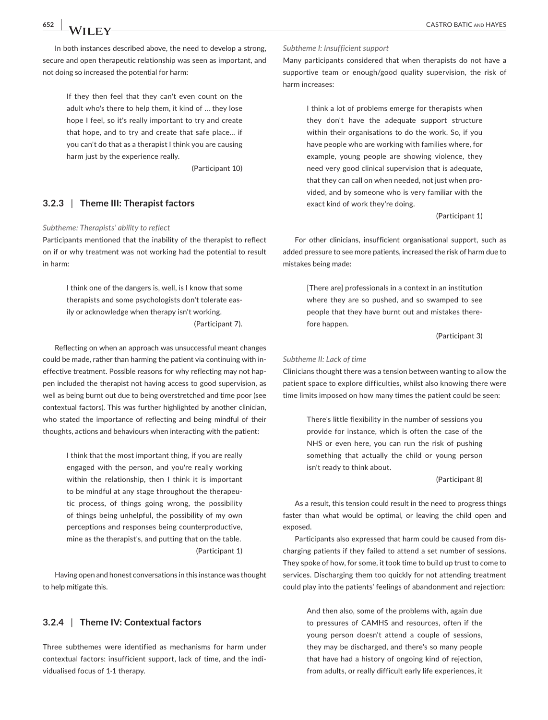In both instances described above, the need to develop a strong, secure and open therapeutic relationship was seen as important, and not doing so increased the potential for harm:

> If they then feel that they can't even count on the adult who's there to help them, it kind of … they lose hope I feel, so it's really important to try and create that hope, and to try and create that safe place… if you can't do that as a therapist I think you are causing harm just by the experience really.

> > (Participant 10)

### **3.2.3** | **Theme III: Therapist factors**

#### *Subtheme: Therapists' ability to reflect*

Participants mentioned that the inability of the therapist to reflect on if or why treatment was not working had the potential to result in harm:

> I think one of the dangers is, well, is I know that some therapists and some psychologists don't tolerate easily or acknowledge when therapy isn't working. (Participant 7).

Reflecting on when an approach was unsuccessful meant changes could be made, rather than harming the patient via continuing with ineffective treatment. Possible reasons for why reflecting may not happen included the therapist not having access to good supervision, as well as being burnt out due to being overstretched and time poor (see contextual factors). This was further highlighted by another clinician, who stated the importance of reflecting and being mindful of their thoughts, actions and behaviours when interacting with the patient:

> I think that the most important thing, if you are really engaged with the person, and you're really working within the relationship, then I think it is important to be mindful at any stage throughout the therapeutic process, of things going wrong, the possibility of things being unhelpful, the possibility of my own perceptions and responses being counterproductive, mine as the therapist's, and putting that on the table. (Participant 1)

Having open and honest conversations in this instance was thought to help mitigate this.

# **3.2.4** | **Theme IV: Contextual factors**

Three subthemes were identified as mechanisms for harm under contextual factors: insufficient support, lack of time, and the individualised focus of 1-1 therapy.

#### *Subtheme I: Insufficient support*

Many participants considered that when therapists do not have a supportive team or enough/good quality supervision, the risk of harm increases:

> I think a lot of problems emerge for therapists when they don't have the adequate support structure within their organisations to do the work. So, if you have people who are working with families where, for example, young people are showing violence, they need very good clinical supervision that is adequate, that they can call on when needed, not just when provided, and by someone who is very familiar with the exact kind of work they're doing.

> > (Participant 1)

For other clinicians, insufficient organisational support, such as added pressure to see more patients, increased the risk of harm due to mistakes being made:

> [There are] professionals in a context in an institution where they are so pushed, and so swamped to see people that they have burnt out and mistakes therefore happen.

> > (Participant 3)

#### *Subtheme II: Lack of time*

Clinicians thought there was a tension between wanting to allow the patient space to explore difficulties, whilst also knowing there were time limits imposed on how many times the patient could be seen:

> There's little flexibility in the number of sessions you provide for instance, which is often the case of the NHS or even here, you can run the risk of pushing something that actually the child or young person isn't ready to think about.

> > (Participant 8)

As a result, this tension could result in the need to progress things faster than what would be optimal, or leaving the child open and exposed.

Participants also expressed that harm could be caused from discharging patients if they failed to attend a set number of sessions. They spoke of how, for some, it took time to build up trust to come to services. Discharging them too quickly for not attending treatment could play into the patients' feelings of abandonment and rejection:

> And then also, some of the problems with, again due to pressures of CAMHS and resources, often if the young person doesn't attend a couple of sessions, they may be discharged, and there's so many people that have had a history of ongoing kind of rejection, from adults, or really difficult early life experiences, it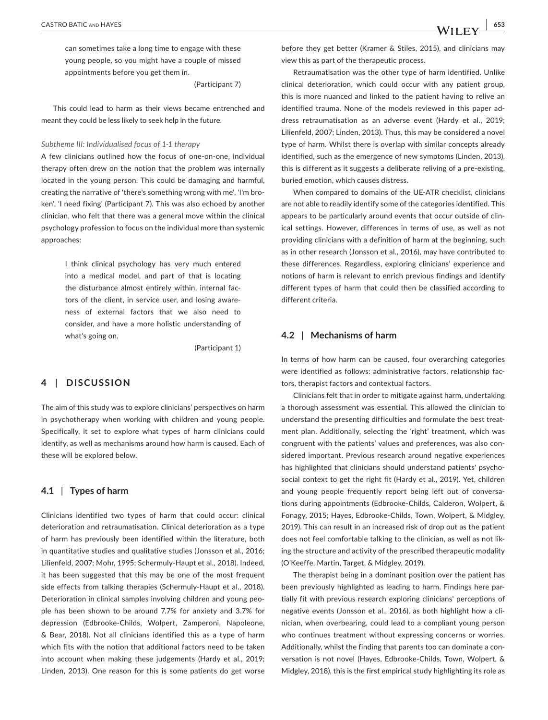can sometimes take a long time to engage with these young people, so you might have a couple of missed appointments before you get them in.

(Participant 7)

This could lead to harm as their views became entrenched and meant they could be less likely to seek help in the future.

#### *Subtheme III: Individualised focus of 1-1 therapy*

A few clinicians outlined how the focus of one-on-one, individual therapy often drew on the notion that the problem was internally located in the young person. This could be damaging and harmful, creating the narrative of 'there's something wrong with me', 'I'm broken', 'I need fixing' (Participant 7). This was also echoed by another clinician, who felt that there was a general move within the clinical psychology profession to focus on the individual more than systemic approaches:

> I think clinical psychology has very much entered into a medical model, and part of that is locating the disturbance almost entirely within, internal factors of the client, in service user, and losing awareness of external factors that we also need to consider, and have a more holistic understanding of what's going on.

> > (Participant 1)

# **4** | **DISCUSSION**

The aim of this study was to explore clinicians' perspectives on harm in psychotherapy when working with children and young people. Specifically, it set to explore what types of harm clinicians could identify, as well as mechanisms around how harm is caused. Each of these will be explored below.

### **4.1** | **Types of harm**

Clinicians identified two types of harm that could occur: clinical deterioration and retraumatisation. Clinical deterioration as a type of harm has previously been identified within the literature, both in quantitative studies and qualitative studies (Jonsson et al., 2016; Lilienfeld, 2007; Mohr, 1995; Schermuly-Haupt et al., 2018). Indeed, it has been suggested that this may be one of the most frequent side effects from talking therapies (Schermuly-Haupt et al., 2018). Deterioration in clinical samples involving children and young people has been shown to be around 7.7% for anxiety and 3.7% for depression (Edbrooke-Childs, Wolpert, Zamperoni, Napoleone, & Bear, 2018). Not all clinicians identified this as a type of harm which fits with the notion that additional factors need to be taken into account when making these judgements (Hardy et al., 2019; Linden, 2013). One reason for this is some patients do get worse

before they get better (Kramer & Stiles, 2015), and clinicians may view this as part of the therapeutic process.

Retraumatisation was the other type of harm identified. Unlike clinical deterioration, which could occur with any patient group, this is more nuanced and linked to the patient having to relive an identified trauma. None of the models reviewed in this paper address retraumatisation as an adverse event (Hardy et al., 2019; Lilienfeld, 2007; Linden, 2013). Thus, this may be considered a novel type of harm. Whilst there is overlap with similar concepts already identified, such as the emergence of new symptoms (Linden, 2013), this is different as it suggests a deliberate reliving of a pre-existing, buried emotion, which causes distress.

When compared to domains of the UE-ATR checklist, clinicians are not able to readily identify some of the categories identified. This appears to be particularly around events that occur outside of clinical settings. However, differences in terms of use, as well as not providing clinicians with a definition of harm at the beginning, such as in other research (Jonsson et al., 2016), may have contributed to these differences. Regardless, exploring clinicians' experience and notions of harm is relevant to enrich previous findings and identify different types of harm that could then be classified according to different criteria.

### **4.2** | **Mechanisms of harm**

In terms of how harm can be caused, four overarching categories were identified as follows: administrative factors, relationship factors, therapist factors and contextual factors.

Clinicians felt that in order to mitigate against harm, undertaking a thorough assessment was essential. This allowed the clinician to understand the presenting difficulties and formulate the best treatment plan. Additionally, selecting the 'right' treatment, which was congruent with the patients' values and preferences, was also considered important. Previous research around negative experiences has highlighted that clinicians should understand patients' psychosocial context to get the right fit (Hardy et al., 2019). Yet, children and young people frequently report being left out of conversations during appointments (Edbrooke-Childs, Calderon, Wolpert, & Fonagy, 2015; Hayes, Edbrooke-Childs, Town, Wolpert, & Midgley, 2019). This can result in an increased risk of drop out as the patient does not feel comfortable talking to the clinician, as well as not liking the structure and activity of the prescribed therapeutic modality (O'Keeffe, Martin, Target, & Midgley, 2019).

The therapist being in a dominant position over the patient has been previously highlighted as leading to harm. Findings here partially fit with previous research exploring clinicians' perceptions of negative events (Jonsson et al., 2016), as both highlight how a clinician, when overbearing, could lead to a compliant young person who continues treatment without expressing concerns or worries. Additionally, whilst the finding that parents too can dominate a conversation is not novel (Hayes, Edbrooke-Childs, Town, Wolpert, & Midgley, 2018), this is the first empirical study highlighting its role as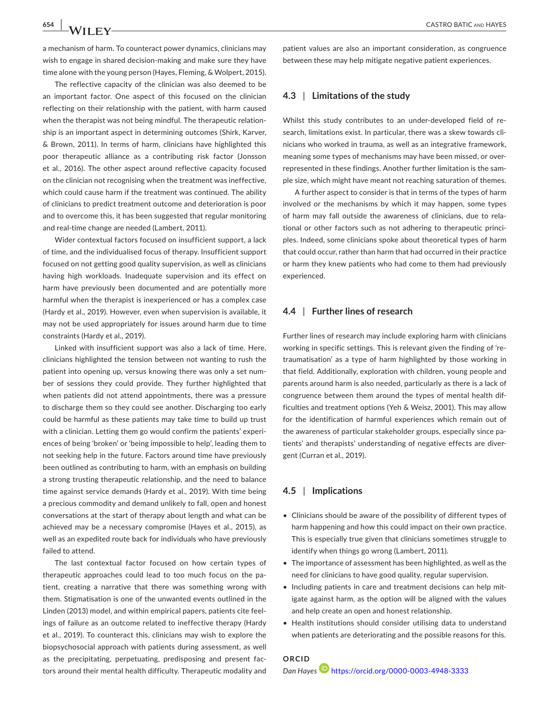a mechanism of harm. To counteract power dynamics, clinicians may wish to engage in shared decision-making and make sure they have time alone with the young person (Hayes, Fleming, & Wolpert, 2015).

The reflective capacity of the clinician was also deemed to be an important factor. One aspect of this focused on the clinician reflecting on their relationship with the patient, with harm caused when the therapist was not being mindful. The therapeutic relationship is an important aspect in determining outcomes (Shirk, Karver, & Brown, 2011). In terms of harm, clinicians have highlighted this poor therapeutic alliance as a contributing risk factor (Jonsson et al., 2016). The other aspect around reflective capacity focused on the clinician not recognising when the treatment was ineffective, which could cause harm if the treatment was continued. The ability of clinicians to predict treatment outcome and deterioration is poor and to overcome this, it has been suggested that regular monitoring and real-time change are needed (Lambert, 2011).

Wider contextual factors focused on insufficient support, a lack of time, and the individualised focus of therapy. Insufficient support focused on not getting good quality supervision, as well as clinicians having high workloads. Inadequate supervision and its effect on harm have previously been documented and are potentially more harmful when the therapist is inexperienced or has a complex case (Hardy et al., 2019). However, even when supervision is available, it may not be used appropriately for issues around harm due to time constraints (Hardy et al., 2019).

Linked with insufficient support was also a lack of time. Here, clinicians highlighted the tension between not wanting to rush the patient into opening up, versus knowing there was only a set number of sessions they could provide. They further highlighted that when patients did not attend appointments, there was a pressure to discharge them so they could see another. Discharging too early could be harmful as these patients may take time to build up trust with a clinician. Letting them go would confirm the patients' experiences of being 'broken' or 'being impossible to help', leading them to not seeking help in the future. Factors around time have previously been outlined as contributing to harm, with an emphasis on building a strong trusting therapeutic relationship, and the need to balance time against service demands (Hardy et al., 2019). With time being a precious commodity and demand unlikely to fall, open and honest conversations at the start of therapy about length and what can be achieved may be a necessary compromise (Hayes et al., 2015), as well as an expedited route back for individuals who have previously failed to attend.

The last contextual factor focused on how certain types of therapeutic approaches could lead to too much focus on the patient, creating a narrative that there was something wrong with them. Stigmatisation is one of the unwanted events outlined in the Linden (2013) model, and within empirical papers, patients cite feelings of failure as an outcome related to ineffective therapy (Hardy et al., 2019). To counteract this, clinicians may wish to explore the biopsychosocial approach with patients during assessment, as well as the precipitating, perpetuating, predisposing and present factors around their mental health difficulty. Therapeutic modality and patient values are also an important consideration, as congruence between these may help mitigate negative patient experiences.

# **4.3** | **Limitations of the study**

Whilst this study contributes to an under-developed field of research, limitations exist. In particular, there was a skew towards clinicians who worked in trauma, as well as an integrative framework, meaning some types of mechanisms may have been missed, or overrepresented in these findings. Another further limitation is the sample size, which might have meant not reaching saturation of themes.

A further aspect to consider is that in terms of the types of harm involved or the mechanisms by which it may happen, some types of harm may fall outside the awareness of clinicians, due to relational or other factors such as not adhering to therapeutic principles. Indeed, some clinicians spoke about theoretical types of harm that could occur, rather than harm that had occurred in their practice or harm they knew patients who had come to them had previously experienced.

### **4.4** | **Further lines of research**

Further lines of research may include exploring harm with clinicians working in specific settings. This is relevant given the finding of 'retraumatisation' as a type of harm highlighted by those working in that field. Additionally, exploration with children, young people and parents around harm is also needed, particularly as there is a lack of congruence between them around the types of mental health difficulties and treatment options (Yeh & Weisz, 2001). This may allow for the identification of harmful experiences which remain out of the awareness of particular stakeholder groups, especially since patients' and therapists' understanding of negative effects are divergent (Curran et al., 2019).

# **4.5** | **Implications**

- Clinicians should be aware of the possibility of different types of harm happening and how this could impact on their own practice. This is especially true given that clinicians sometimes struggle to identify when things go wrong (Lambert, 2011).
- The importance of assessment has been highlighted, as well as the need for clinicians to have good quality, regular supervision.
- Including patients in care and treatment decisions can help mitigate against harm, as the option will be aligned with the values and help create an open and honest relationship.
- Health institutions should consider utilising data to understand when patients are deteriorating and the possible reasons for this.

# **ORCID** *Dan Hayes* <https://orcid.org/0000-0003-4948-3333>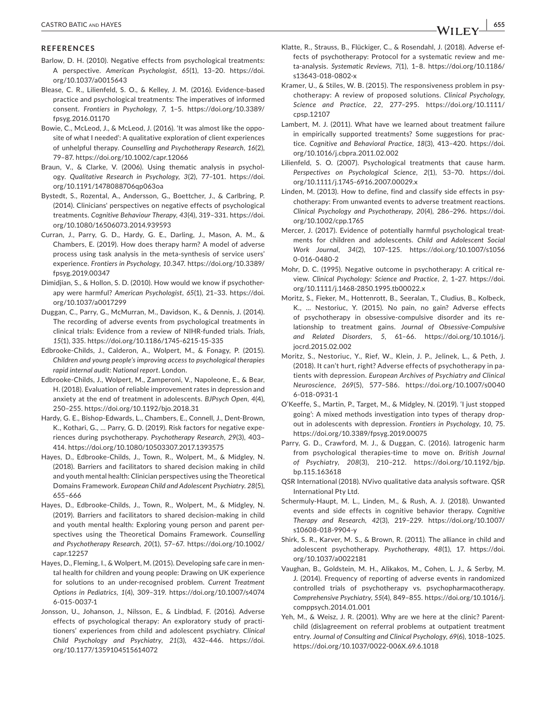#### **REFERENCES**

- Barlow, D. H. (2010). Negative effects from psychological treatments: A perspective. *American Psychologist*, *65*(1), 13–20. [https://doi.](https://doi.org/10.1037/a0015643) [org/10.1037/a0015643](https://doi.org/10.1037/a0015643)
- Blease, C. R., Lilienfeld, S. O., & Kelley, J. M. (2016). Evidence-based practice and psychological treatments: The imperatives of informed consent. *Frontiers in Psychology*, *7*, 1–5. [https://doi.org/10.3389/](https://doi.org/10.3389/fpsyg.2016.01170) [fpsyg.2016.01170](https://doi.org/10.3389/fpsyg.2016.01170)
- Bowie, C., McLeod, J., & McLeod, J. (2016). 'It was almost like the opposite of what I needed': A qualitative exploration of client experiences of unhelpful therapy. *Counselling and Psychotherapy Research*, *16*(2), 79–87.<https://doi.org/10.1002/capr.12066>
- Braun, V., & Clarke, V. (2006). Using thematic analysis in psychology. *Qualitative Research in Psychology*, *3*(2), 77–101. [https://doi.](https://doi.org/10.1191/1478088706qp063oa) [org/10.1191/1478088706qp063oa](https://doi.org/10.1191/1478088706qp063oa)
- Bystedt, S., Rozental, A., Andersson, G., Boettcher, J., & Carlbring, P. (2014). Clinicians' perspectives on negative effects of psychological treatments. *Cognitive Behaviour Therapy*, *43*(4), 319–331. [https://doi.](https://doi.org/10.1080/16506073.2014.939593) [org/10.1080/16506073.2014.939593](https://doi.org/10.1080/16506073.2014.939593)
- Curran, J., Parry, G. D., Hardy, G. E., Darling, J., Mason, A. M., & Chambers, E. (2019). How does therapy harm? A model of adverse process using task analysis in the meta-synthesis of service users' experience. *Frontiers in Psychology*, *10*.347. [https://doi.org/10.3389/](https://doi.org/10.3389/fpsyg.2019.00347) [fpsyg.2019.00347](https://doi.org/10.3389/fpsyg.2019.00347)
- Dimidjian, S., & Hollon, S. D. (2010). How would we know if psychotherapy were harmful? *American Psychologist*, *65*(1), 21–33. [https://doi.](https://doi.org/10.1037/a0017299) [org/10.1037/a0017299](https://doi.org/10.1037/a0017299)
- Duggan, C., Parry, G., McMurran, M., Davidson, K., & Dennis, J. (2014). The recording of adverse events from psychological treatments in clinical trials: Evidence from a review of NIHR-funded trials. *Trials*, *15*(1), 335.<https://doi.org/10.1186/1745-6215-15-335>
- Edbrooke-Childs, J., Calderon, A., Wolpert, M., & Fonagy, P. (2015). *Children and young people's improving access to psychological therapies rapid internal audit: National report*. London.
- Edbrooke-Childs, J., Wolpert, M., Zamperoni, V., Napoleone, E., & Bear, H. (2018). Evaluation of reliable improvement rates in depression and anxiety at the end of treatment in adolescents. *BJPsych Open*, *4*(4), 250–255. <https://doi.org/10.1192/bjo.2018.31>
- Hardy, G. E., Bishop-Edwards, L., Chambers, E., Connell, J., Dent-Brown, K., Kothari, G., … Parry, G. D. (2019). Risk factors for negative experiences during psychotherapy. *Psychotherapy Research*, *29*(3), 403– 414.<https://doi.org/10.1080/10503307.2017.1393575>
- Hayes, D., Edbrooke-Childs, J., Town, R., Wolpert, M., & Midgley, N. (2018). Barriers and facilitators to shared decision making in child and youth mental health: Clinician perspectives using the Theoretical Domains Framework. *European Child and Adolescent Psychiatry*. *28*(5), 655–666
- Hayes, D., Edbrooke-Childs, J., Town, R., Wolpert, M., & Midgley, N. (2019). Barriers and facilitators to shared decision-making in child and youth mental health: Exploring young person and parent perspectives using the Theoretical Domains Framework. *Counselling and Psychotherapy Research*, *20*(1), 57–67. [https://doi.org/10.1002/](https://doi.org/10.1002/capr.12257) [capr.12257](https://doi.org/10.1002/capr.12257)
- Hayes, D., Fleming, I., & Wolpert, M. (2015). Developing safe care in mental health for children and young people: Drawing on UK experience for solutions to an under-recognised problem. *Current Treatment Options in Pediatrics*, *1*(4), 309–319. [https://doi.org/10.1007/s4074](https://doi.org/10.1007/s40746-015-0037-1) [6-015-0037-1](https://doi.org/10.1007/s40746-015-0037-1)
- Jonsson, U., Johanson, J., Nilsson, E., & Lindblad, F. (2016). Adverse effects of psychological therapy: An exploratory study of practitioners' experiences from child and adolescent psychiatry. *Clinical Child Psychology and Psychiatry*, *21*(3), 432–446. [https://doi.](https://doi.org/10.1177/1359104515614072) [org/10.1177/1359104515614072](https://doi.org/10.1177/1359104515614072)
- Klatte, R., Strauss, B., Flückiger, C., & Rosendahl, J. (2018). Adverse effects of psychotherapy: Protocol for a systematic review and meta-analysis. *Systematic Reviews*, *7*(1), 1–8. [https://doi.org/10.1186/](https://doi.org/10.1186/s13643-018-0802-x) [s13643-018-0802-x](https://doi.org/10.1186/s13643-018-0802-x)
- Kramer, U., & Stiles, W. B. (2015). The responsiveness problem in psychotherapy: A review of proposed solutions. *Clinical Psychology, Science and Practice*, *22*, 277–295. [https://doi.org/10.1111/](https://doi.org/10.1111/cpsp.12107) [cpsp.12107](https://doi.org/10.1111/cpsp.12107)
- Lambert, M. J. (2011). What have we learned about treatment failure in empirically supported treatments? Some suggestions for practice. *Cognitive and Behavioral Practice*, *18*(3), 413–420. [https://doi.](https://doi.org/10.1016/j.cbpra.2011.02.002) [org/10.1016/j.cbpra.2011.02.002](https://doi.org/10.1016/j.cbpra.2011.02.002)
- Lilienfeld, S. O. (2007). Psychological treatments that cause harm. *Perspectives on Psychological Science*, *2*(1), 53–70. [https://doi.](https://doi.org/10.1111/j.1745-6916.2007.00029.x) [org/10.1111/j.1745-6916.2007.00029.x](https://doi.org/10.1111/j.1745-6916.2007.00029.x)
- Linden, M. (2013). How to define, find and classify side effects in psychotherapy: From unwanted events to adverse treatment reactions. *Clinical Psychology and Psychotherapy*, *20*(4), 286–296. [https://doi.](https://doi.org/10.1002/cpp.1765) [org/10.1002/cpp.1765](https://doi.org/10.1002/cpp.1765)
- Mercer, J. (2017). Evidence of potentially harmful psychological treatments for children and adolescents. *Child and Adolescent Social Work Journal*, *34*(2), 107–125. [https://doi.org/10.1007/s1056](https://doi.org/10.1007/s10560-016-0480-2) [0-016-0480-2](https://doi.org/10.1007/s10560-016-0480-2)
- Mohr, D. C. (1995). Negative outcome in psychotherapy: A critical review. *Clinical Psychology: Science and Practice*, *2*, 1–27. [https://doi.](https://doi.org/10.1111/j.1468-2850.1995.tb00022.x) [org/10.1111/j.1468-2850.1995.tb00022.x](https://doi.org/10.1111/j.1468-2850.1995.tb00022.x)
- Moritz, S., Fieker, M., Hottenrott, B., Seeralan, T., Cludius, B., Kolbeck, K., … Nestoriuc, Y. (2015). No pain, no gain? Adverse effects of psychotherapy in obsessive-compulsive disorder and its relationship to treatment gains. *Journal of Obsessive-Compulsive and Related Disorders*, *5*, 61–66. [https://doi.org/10.1016/j.](https://doi.org/10.1016/j.jocrd.2015.02.002) [jocrd.2015.02.002](https://doi.org/10.1016/j.jocrd.2015.02.002)
- Moritz, S., Nestoriuc, Y., Rief, W., Klein, J. P., Jelinek, L., & Peth, J. (2018). It can't hurt, right? Adverse effects of psychotherapy in patients with depression. *European Archives of Psychiatry and Clinical Neuroscience*, *269*(5), 577–586. [https://doi.org/10.1007/s0040](https://doi.org/10.1007/s00406-018-0931-1) [6-018-0931-1](https://doi.org/10.1007/s00406-018-0931-1)
- O'Keeffe, S., Martin, P., Target, M., & Midgley, N. (2019). 'I just stopped going': A mixed methods investigation into types of therapy dropout in adolescents with depression. *Frontiers in Psychology*, *10*, 75. <https://doi.org/10.3389/fpsyg.2019.00075>
- Parry, G. D., Crawford, M. J., & Duggan, C. (2016). Iatrogenic harm from psychological therapies-time to move on. *British Journal of Psychiatry*, *208*(3), 210–212. [https://doi.org/10.1192/bjp.](https://doi.org/10.1192/bjp.bp.115.163618) [bp.115.163618](https://doi.org/10.1192/bjp.bp.115.163618)
- QSR International (2018). NVivo qualitative data analysis software. QSR International Pty Ltd.
- Schermuly-Haupt, M. L., Linden, M., & Rush, A. J. (2018). Unwanted events and side effects in cognitive behavior therapy. *Cognitive Therapy and Research*, *42*(3), 219–229. [https://doi.org/10.1007/](https://doi.org/10.1007/s10608-018-9904-y) [s10608-018-9904-y](https://doi.org/10.1007/s10608-018-9904-y)
- Shirk, S. R., Karver, M. S., & Brown, R. (2011). The alliance in child and adolescent psychotherapy. *Psychotherapy*, *48*(1), 17. [https://doi.](https://doi.org/10.1037/a0022181) [org/10.1037/a0022181](https://doi.org/10.1037/a0022181)
- Vaughan, B., Goldstein, M. H., Alikakos, M., Cohen, L. J., & Serby, M. J. (2014). Frequency of reporting of adverse events in randomized controlled trials of psychotherapy vs. psychopharmacotherapy. *Comprehensive Psychiatry*, *55*(4), 849–855. [https://doi.org/10.1016/j.](https://doi.org/10.1016/j.comppsych.2014.01.001) [comppsych.2014.01.001](https://doi.org/10.1016/j.comppsych.2014.01.001)
- Yeh, M., & Weisz, J. R. (2001). Why are we here at the clinic? Parentchild (dis)agreement on referral problems at outpatient treatment entry. *Journal of Consulting and Clinical Psychology*, *69*(6), 1018–1025. <https://doi.org/10.1037/0022-006X.69.6.1018>